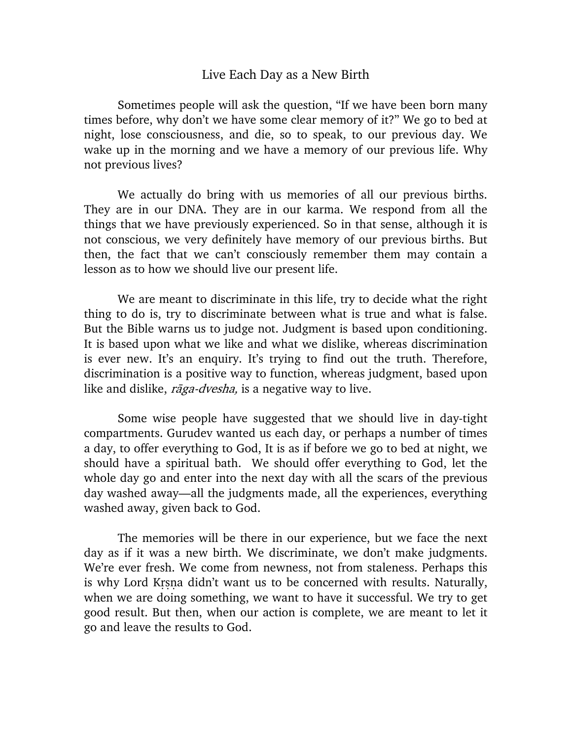## Live Each Day as a New Birth

Sometimes people will ask the question, "If we have been born many times before, why don't we have some clear memory of it?" We go to bed at night, lose consciousness, and die, so to speak, to our previous day. We wake up in the morning and we have a memory of our previous life. Why not previous lives?

We actually do bring with us memories of all our previous births. They are in our DNA. They are in our karma. We respond from all the things that we have previously experienced. So in that sense, although it is not conscious, we very definitely have memory of our previous births. But then, the fact that we can't consciously remember them may contain a lesson as to how we should live our present life.

We are meant to discriminate in this life, try to decide what the right thing to do is, try to discriminate between what is true and what is false. But the Bible warns us to judge not. Judgment is based upon conditioning. It is based upon what we like and what we dislike, whereas discrimination is ever new. It's an enquiry. It's trying to find out the truth. Therefore, discrimination is a positive way to function, whereas judgment, based upon like and dislike, *rāga-dvesha*, is a negative way to live.

Some wise people have suggested that we should live in day-tight compartments. Gurudev wanted us each day, or perhaps a number of times a day, to offer everything to God, It is as if before we go to bed at night, we should have a spiritual bath. We should offer everything to God, let the whole day go and enter into the next day with all the scars of the previous day washed away—all the judgments made, all the experiences, everything washed away, given back to God.

The memories will be there in our experience, but we face the next day as if it was a new birth. We discriminate, we don't make judgments. We're ever fresh. We come from newness, not from staleness. Perhaps this is why Lord Krsna didn't want us to be concerned with results. Naturally, when we are doing something, we want to have it successful. We try to get good result. But then, when our action is complete, we are meant to let it go and leave the results to God.